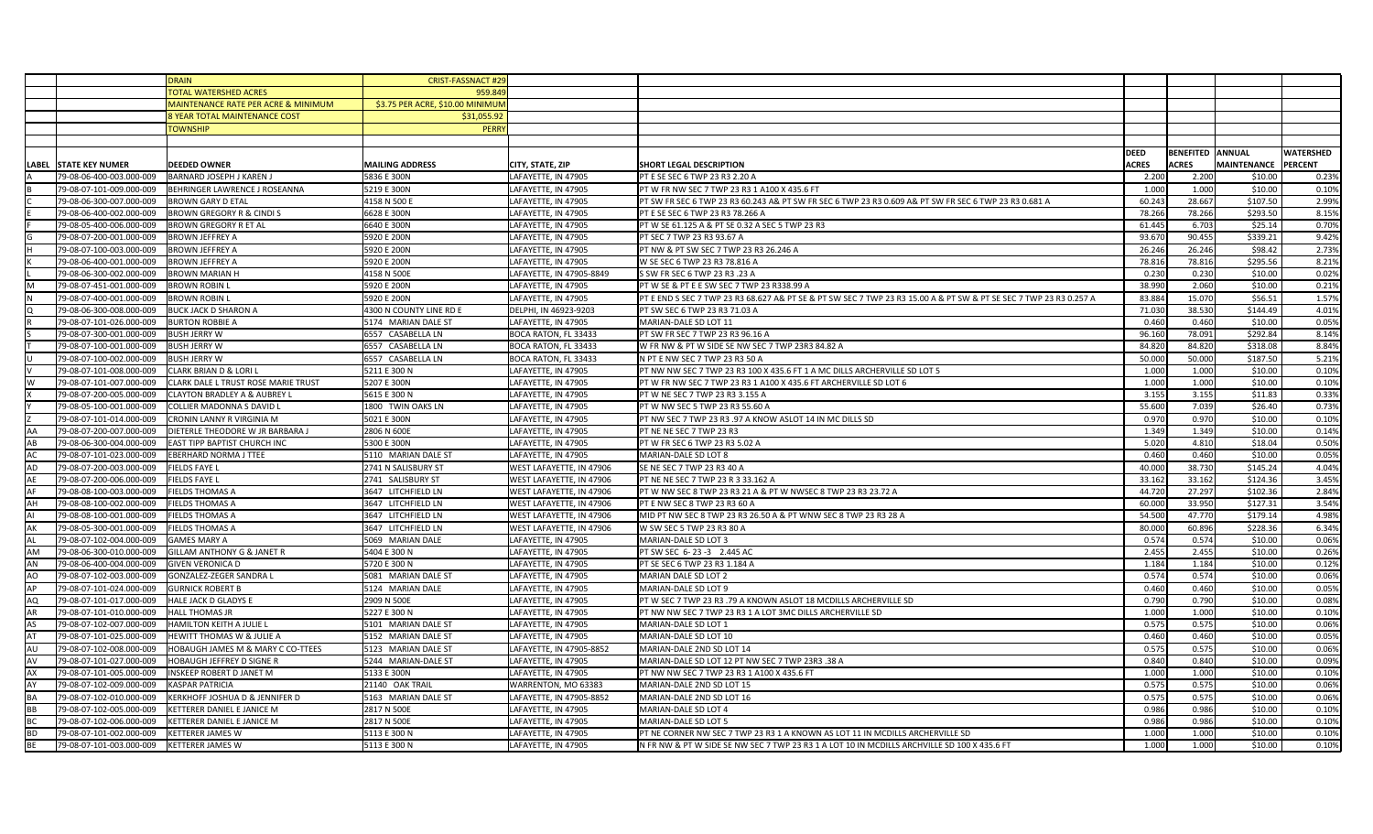|           |                                               | <b>DRAIN</b>                                                 | <b>CRIST-FASSNACT #29</b>        |                          |                                                                                                                    |              |                         |                     |           |
|-----------|-----------------------------------------------|--------------------------------------------------------------|----------------------------------|--------------------------|--------------------------------------------------------------------------------------------------------------------|--------------|-------------------------|---------------------|-----------|
|           |                                               | <b>OTAL WATERSHED ACRES</b>                                  | 959.84                           |                          |                                                                                                                    |              |                         |                     |           |
|           |                                               | MAINTENANCE RATE PER ACRE & MINIMUM                          | \$3.75 PER ACRE, \$10.00 MINIMUM |                          |                                                                                                                    |              |                         |                     |           |
|           |                                               | <b>SYEAR TOTAL MAINTENANCE COST</b>                          | \$31,055.92                      |                          |                                                                                                                    |              |                         |                     |           |
|           |                                               | <b>OWNSHIP</b>                                               | <b>PERR</b>                      |                          |                                                                                                                    |              |                         |                     |           |
|           |                                               |                                                              |                                  |                          |                                                                                                                    |              |                         |                     |           |
|           |                                               |                                                              |                                  |                          |                                                                                                                    | DEED         | <b>BENEFITED ANNUAL</b> |                     | WATERSHED |
|           | LABEL STATE KEY NUMER                         | <b>DEEDED OWNER</b>                                          | <b>MAILING ADDRESS</b>           | CITY, STATE, ZIP         | SHORT LEGAL DESCRIPTION                                                                                            | <b>ACRES</b> | <b>ACRES</b>            | MAINTENANCE PERCENT |           |
|           |                                               |                                                              |                                  |                          |                                                                                                                    |              |                         |                     |           |
|           |                                               | 79-08-06-400-003.000-009 BARNARD JOSEPH J KAREN J            | 5836 E 300N                      | LAFAYETTE, IN 47905      | PT E SE SEC 6 TWP 23 R3 2.20 A                                                                                     | 2.200        | 2.200                   | \$10.00             | 0.23%     |
|           | 79-08-07-101-009.000-009                      | BEHRINGER LAWRENCE J ROSEANNA                                | 5219 E 300N                      | LAFAYETTE, IN 47905      | PT W FR NW SEC 7 TWP 23 R3 1 A100 X 435.6 FT                                                                       | 1.000        | 1.000                   | \$10.00             | 0.10%     |
|           | 79-08-06-300-007.000-009                      | <b>BROWN GARY D ETAL</b>                                     | 4158 N 500 E                     | LAFAYETTE, IN 47905      | PT SW FR SEC 6 TWP 23 R3 60.243 A& PT SW FR SEC 6 TWP 23 R3 0.609 A& PT SW FR SEC 6 TWP 23 R3 0.681 A              | 60.243       | 28.667                  | \$107.50            | 2.99%     |
|           | 79-08-06-400-002.000-009                      | <b>BROWN GREGORY R &amp; CINDI S</b>                         | 6628 E 300N                      | LAFAYETTE, IN 47905      | PT E SE SEC 6 TWP 23 R3 78.266 A                                                                                   | 78.266       | 78.266                  | \$293.50            | 8.15%     |
|           | 79-08-05-400-006.000-009                      | <b>BROWN GREGORY R ET AL</b>                                 | 6640 E 300N                      | LAFAYETTE, IN 47905      | PT W SE 61.125 A & PT SE 0.32 A SEC 5 TWP 23 R3                                                                    | 61.445       | 6.703                   | \$25.14             | 0.70%     |
|           | 79-08-07-200-001.000-009 BROWN JEFFREY A      |                                                              | 5920 E 200N                      | LAFAYETTE, IN 47905      | PT SEC 7 TWP 23 R3 93.67 A                                                                                         | 93.670       | 90.455                  | \$339.21            | 9.42%     |
|           | 79-08-07-100-003.000-009                      | <b>BROWN JEFFREY A</b>                                       | 5920 E 200N                      | LAFAYETTE, IN 47905      | PT NW & PT SW SEC 7 TWP 23 R3 26.246 A                                                                             | 26.246       | 26.246                  | \$98.42             | 2.73%     |
|           | 79-08-06-400-001.000-009                      | <b>BROWN JEFFREY A</b>                                       | 5920 E 200N                      | LAFAYETTE, IN 47905      | W SE SEC 6 TWP 23 R3 78.816 A                                                                                      | 78.816       | 78.816                  | \$295.56            | 8.21%     |
|           | 79-08-06-300-002.000-009 BROWN MARIAN H       |                                                              | 4158 N 500E                      | LAFAYETTE, IN 47905-8849 | S SW FR SEC 6 TWP 23 R3 .23 A                                                                                      | 0.230        | 0.230                   | \$10.00             | 0.02%     |
|           | 79-08-07-451-001.000-009 BROWN ROBIN L        |                                                              | 5920 E 200N                      | LAFAYETTE, IN 47905      | PT W SE & PT E E SW SEC 7 TWP 23 R338.99 A                                                                         | 38.990       | 2.060                   | \$10.00             | 0.21%     |
|           | 79-08-07-400-001.000-009                      | <b>BROWN ROBIN L</b>                                         | 5920 E 200N                      | LAFAYETTE, IN 47905      | PT E END S SEC 7 TWP 23 R3 68.627 A& PT SE & PT SW SEC 7 TWP 23 R3 15.00 A & PT SW & PT SE SEC 7 TWP 23 R3 0.257 A | 83.884       | 15.070                  | \$56.51             | 1.57%     |
|           | 79-08-06-300-008.000-009 BUCK JACK D SHARON A |                                                              | 4300 N COUNTY LINE RD E          | DELPHI, IN 46923-9203    | PT SW SEC 6 TWP 23 R3 71.03 A                                                                                      | 71.030       | 38.530                  | \$144.49            | 4.01%     |
|           | 79-08-07-101-026.000-009 BURTON ROBBIE A      |                                                              | 5174 MARIAN DALE ST              | LAFAYETTE, IN 47905      | MARIAN-DALE SD LOT 11                                                                                              | 0.460        | 0.460                   | \$10.00             | 0.05%     |
|           | 79-08-07-300-001.000-009                      | <b>BUSH JERRY W</b>                                          | 6557 CASABELLA LN                | BOCA RATON, FL 33433     | PT SW FR SEC 7 TWP 23 R3 96.16 A                                                                                   | 96.160       | 78.091                  | \$292.84            | 8.14%     |
|           | 79-08-07-100-001.000-009 BUSH JERRY W         |                                                              | 6557 CASABELLA LN                | BOCA RATON, FL 33433     | W FR NW & PT W SIDE SE NW SEC 7 TWP 23R3 84.82 A                                                                   | 84.820       | 84.820                  | \$318.08            | 8.84%     |
|           | 79-08-07-100-002.000-009 BUSH JERRY W         |                                                              | 6557 CASABELLA LN                | BOCA RATON, FL 33433     | N PT E NW SEC 7 TWP 23 R3 50 A                                                                                     | 50.000       | 50.000                  | \$187.50            | 5.21%     |
|           | 79-08-07-101-008.000-009                      | <b>CLARK BRIAN D &amp; LORI L</b>                            | 5211 E 300 N                     | LAFAYETTE, IN 47905      | PT NW NW SEC 7 TWP 23 R3 100 X 435.6 FT 1 A MC DILLS ARCHERVILLE SD LOT 5                                          | 1.000        | 1.000                   | \$10.00             | 0.10%     |
|           |                                               | 79-08-07-101-007.000-009 CLARK DALE L TRUST ROSE MARIE TRUST | 5207 E 300N                      | LAFAYETTE, IN 47905      | PT W FR NW SEC 7 TWP 23 R3 1 A100 X 435.6 FT ARCHERVILLE SD LOT 6                                                  | 1.000        | 1.000                   | \$10.00             | 0.10%     |
|           |                                               | 79-08-07-200-005.000-009 CLAYTON BRADLEY A & AUBREY L        | 5615 E 300 N                     | LAFAYETTE, IN 47905      | PT W NE SEC 7 TWP 23 R3 3.155 A                                                                                    | 3.155        | 3.155                   | \$11.83             | 0.33%     |
|           | 79-08-05-100-001.000-009                      | COLLIER MADONNA S DAVID L                                    | 1800 TWIN OAKS LN                | LAFAYETTE, IN 47905      | PT W NW SEC 5 TWP 23 R3 55.60 A                                                                                    | 55.600       | 7.039                   | \$26.40             | 0.73%     |
|           | 79-08-07-101-014.000-009                      | CRONIN LANNY R VIRGINIA M                                    | 5021 E 300N                      | LAFAYETTE, IN 47905      | PT NW SEC 7 TWP 23 R3 .97 A KNOW ASLOT 14 IN MC DILLS SD                                                           | 0.970        | 0.970                   | \$10.00             | 0.10%     |
|           | 79-08-07-200-007.000-009                      | DIETERLE THEODORE W JR BARBARA J                             | 2806 N 600E                      | LAFAYETTE, IN 47905      | PT NE NE SEC 7 TWP 23 R3                                                                                           | 1.349        | 1.349                   | \$10.00             | 0.14%     |
|           | 79-08-06-300-004.000-009                      | <b>EAST TIPP BAPTIST CHURCH INC</b>                          | 5300 E 300N                      | LAFAYETTE, IN 47905      | PT W FR SEC 6 TWP 23 R3 5.02 A                                                                                     | 5.020        | 4.810                   | \$18.04             | 0.50%     |
|           | 79-08-07-101-023.000-009                      | <b>EBERHARD NORMA J TTEE</b>                                 | 5110 MARIAN DALE ST              | LAFAYETTE, IN 47905      | MARIAN-DALE SD LOT 8                                                                                               | 0.460        | 0.460                   | \$10.00             | 0.05%     |
|           |                                               |                                                              |                                  | WEST LAFAYETTE, IN 47906 | SE NE SEC 7 TWP 23 R3 40 A                                                                                         | 40.000       |                         | \$145.24            | 4.04%     |
|           | 79-08-07-200-003.000-009                      | <b>FIELDS FAYE L</b>                                         | 2741 N SALISBURY ST              |                          |                                                                                                                    |              | 38.730                  |                     |           |
|           | 79-08-07-200-006.000-009                      | <b>FIELDS FAYE L</b>                                         | 2741 SALISBURY ST                | WEST LAFAYETTE, IN 47906 | PT NE NE SEC 7 TWP 23 R 3 33.162 A                                                                                 | 33.162       | 33.162                  | \$124.36            | 3.45%     |
|           | 79-08-08-100-003.000-009                      | <b>FIELDS THOMAS A</b>                                       | 3647 LITCHFIELD LN               | WEST LAFAYETTE, IN 47906 | PT W NW SEC 8 TWP 23 R3 21 A & PT W NWSEC 8 TWP 23 R3 23.72 A                                                      | 44.720       | 27.297                  | \$102.36            | 2.84%     |
| AH        | 79-08-08-100-002.000-009                      | <b>FIELDS THOMAS A</b>                                       | 3647 LITCHFIELD LN               | WEST LAFAYETTE, IN 47906 | PT E NW SEC 8 TWP 23 R3 60 A                                                                                       | 60.000       | 33.950                  | \$127.31            | 3.54%     |
|           | 79-08-08-100-001.000-009                      | <b>FIELDS THOMAS A</b>                                       | 3647 LITCHFIELD LN               | WEST LAFAYETTE, IN 47906 | MID PT NW SEC 8 TWP 23 R3 26.50 A & PT WNW SEC 8 TWP 23 R3 28 A                                                    | 54.500       | 47.770                  | \$179.14            | 4.98%     |
| AK        | 79-08-05-300-001.000-009                      | <b>FIELDS THOMAS A</b>                                       | 3647 LITCHFIELD LN               | WEST LAFAYETTE, IN 47906 | W SW SEC 5 TWP 23 R3 80 A                                                                                          | 80.000       | 60.896                  | \$228.36            | 6.34%     |
|           | 79-08-07-102-004.000-009                      | <b>GAMES MARY A</b>                                          | 5069 MARIAN DALE                 | LAFAYETTE, IN 47905      | MARIAN-DALE SD LOT 3                                                                                               | 0.574        | 0.574                   | \$10.00             | 0.06%     |
| AM        | 79-08-06-300-010.000-009                      | <b>GILLAM ANTHONY G &amp; JANET R</b>                        | 5404 E 300 N                     | LAFAYETTE, IN 47905      | PT SW SEC 6-23-3 2.445 AC                                                                                          | 2.455        | 2.455                   | \$10.00             | 0.26%     |
| AN        | 79-08-06-400-004.000-009                      | <b>GIVEN VERONICA D</b>                                      | 5720 E 300 N                     | LAFAYETTE, IN 47905      | PT SE SEC 6 TWP 23 R3 1.184 A                                                                                      | 1.184        | 1.184                   | \$10.00             | 0.12%     |
|           | 79-08-07-102-003.000-009                      | <b>GONZALEZ-ZEGER SANDRA L</b>                               | 5081 MARIAN DALE ST              | LAFAYETTE, IN 47905      | MARIAN DALE SD LOT 2                                                                                               | 0.574        | 0.574                   | \$10.00             | 0.06%     |
| AP        | 79-08-07-101-024.000-009                      | <b>GURNICK ROBERT B</b>                                      | 5124 MARIAN DALE                 | LAFAYETTE, IN 47905      | MARIAN-DALE SD LOT 9                                                                                               | 0.460        | 0.460                   | \$10.00             | 0.05%     |
| AQ        | 79-08-07-101-017.000-009                      | <b>HALE JACK D GLADYS E</b>                                  | 2909 N 500E                      | LAFAYETTE, IN 47905      | PT W SEC 7 TWP 23 R3 .79 A KNOWN ASLOT 18 MCDILLS ARCHERVILLE SD                                                   | 0.790        | 0.790                   | \$10.00             | 0.08%     |
| AR        | 79-08-07-101-010.000-009 HALL THOMAS JR       |                                                              | 5227 E 300 N                     | LAFAYETTE, IN 47905      | PT NW NW SEC 7 TWP 23 R3 1 A LOT 3MC DILLS ARCHERVILLE SD                                                          | 1.000        | 1.000                   | \$10.00             | 0.10%     |
| AS        | 79-08-07-102-007.000-009                      | HAMILTON KEITH A JULIE L                                     | 5101 MARIAN DALE ST              | LAFAYETTE, IN 47905      | MARIAN-DALE SD LOT 1                                                                                               | 0.575        | 0.575                   | \$10.00             | 0.06%     |
|           | 79-08-07-101-025.000-009                      | <b>HEWITT THOMAS W &amp; JULIE A</b>                         | 5152 MARIAN DALE ST              | LAFAYETTE, IN 47905      | MARIAN-DALE SD LOT 10                                                                                              | 0.460        | 0.460                   | \$10.00             | 0.05%     |
|           | 79-08-07-102-008.000-009                      | HOBAUGH JAMES M & MARY C CO-TTEES                            | 5123 MARIAN DALE ST              | LAFAYETTE, IN 47905-8852 | MARIAN-DALE 2ND SD LOT 14                                                                                          | 0.575        | 0.575                   | \$10.00             | 0.06%     |
| AV        | 79-08-07-101-027.000-009                      | <b>HOBAUGH JEFFREY D SIGNE R</b>                             | 5244 MARIAN-DALE ST              | LAFAYETTE, IN 47905      | MARIAN-DALE SD LOT 12 PT NW SEC 7 TWP 23R3 .38 A                                                                   | 0.840        | 0.840                   | \$10.00             | 0.09%     |
| AX        | 79-08-07-101-005.000-009                      | INSKEEP ROBERT D JANET M                                     | 5133 E 300N                      | LAFAYETTE, IN 47905      | PT NW NW SEC 7 TWP 23 R3 1 A100 X 435.6 FT                                                                         | 1.000        | 1.000                   | \$10.00             | 0.10%     |
|           | 79-08-07-102-009.000-009                      | <b>KASPAR PATRICIA</b>                                       | 21140 OAK TRAIL                  | WARRENTON, MO 63383      | MARIAN-DALE 2ND SD LOT 15                                                                                          | 0.575        | 0.575                   | \$10.00             | 0.06%     |
|           | 79-08-07-102-010.000-009                      | KERKHOFF JOSHUA D & JENNIFER D                               | 5163 MARIAN DALE ST              | LAFAYETTE, IN 47905-8852 | MARIAN-DALE 2ND SD LOT 16                                                                                          | 0.575        | 0.575                   | \$10.00             | 0.06%     |
| BB        | 79-08-07-102-005.000-009                      | KETTERER DANIEL E JANICE M                                   | 2817 N 500E                      | LAFAYETTE, IN 47905      | MARIAN-DALE SD LOT 4                                                                                               | 0.986        | 0.986                   | \$10.00             | 0.10%     |
|           | 79-08-07-102-006.000-009                      | KETTERER DANIEL E JANICE M                                   | 2817 N 500E                      | LAFAYETTE, IN 47905      | MARIAN-DALE SD LOT 5                                                                                               | 0.986        | 0.986                   | \$10.00             | 0.10%     |
| <b>BD</b> | 79-08-07-101-002.000-009                      | <b>KETTERER JAMES W</b>                                      | 5113 E 300 N                     | LAFAYETTE, IN 47905      | PT NE CORNER NW SEC 7 TWP 23 R3 1 A KNOWN AS LOT 11 IN MCDILLS ARCHERVILLE SD                                      | 1.000        | 1.000                   | \$10.00             | 0.10%     |
| BE        | 79-08-07-101-003.000-009 KETTERER JAMES W     |                                                              | 5113 E 300 N                     | LAFAYETTE, IN 47905      | N FR NW & PT W SIDE SE NW SEC 7 TWP 23 R3 1 A LOT 10 IN MCDILLS ARCHVILLE SD 100 X 435.6 FT                        | 1.000        | 1.000                   | \$10.00             | 0.10%     |
|           |                                               |                                                              |                                  |                          |                                                                                                                    |              |                         |                     |           |